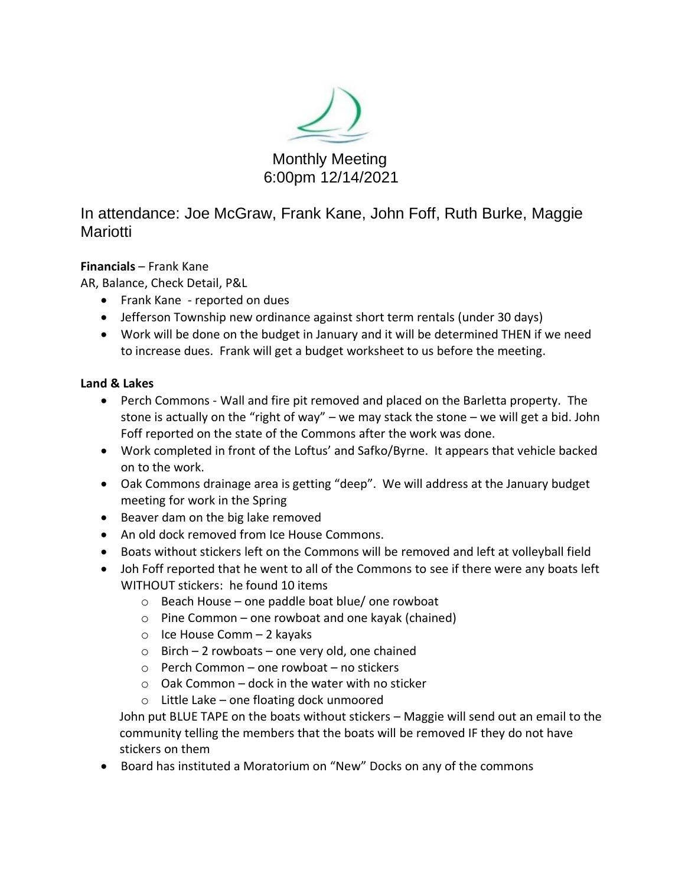

In attendance: Joe McGraw, Frank Kane, John Foff, Ruth Burke, Maggie Mariotti

## **Financials** – Frank Kane

AR, Balance, Check Detail, P&L

- Frank Kane reported on dues
- Jefferson Township new ordinance against short term rentals (under 30 days)
- Work will be done on the budget in January and it will be determined THEN if we need to increase dues. Frank will get a budget worksheet to us before the meeting.

## **Land & Lakes**

- Perch Commons Wall and fire pit removed and placed on the Barletta property. The stone is actually on the "right of way" – we may stack the stone – we will get a bid. John Foff reported on the state of the Commons after the work was done.
- Work completed in front of the Loftus' and Safko/Byrne. It appears that vehicle backed on to the work.
- Oak Commons drainage area is getting "deep". We will address at the January budget meeting for work in the Spring
- Beaver dam on the big lake removed
- An old dock removed from Ice House Commons.
- Boats without stickers left on the Commons will be removed and left at volleyball field
- Joh Foff reported that he went to all of the Commons to see if there were any boats left WITHOUT stickers: he found 10 items
	- $\circ$  Beach House one paddle boat blue/ one rowboat
	- $\circ$  Pine Common one rowboat and one kayak (chained)
	- o Ice House Comm 2 kayaks
	- $\circ$  Birch 2 rowboats one very old, one chained
	- o Perch Common one rowboat no stickers
	- $\circ$  Oak Common dock in the water with no sticker
	- o Little Lake one floating dock unmoored

John put BLUE TAPE on the boats without stickers – Maggie will send out an email to the community telling the members that the boats will be removed IF they do not have stickers on them

• Board has instituted a Moratorium on "New" Docks on any of the commons